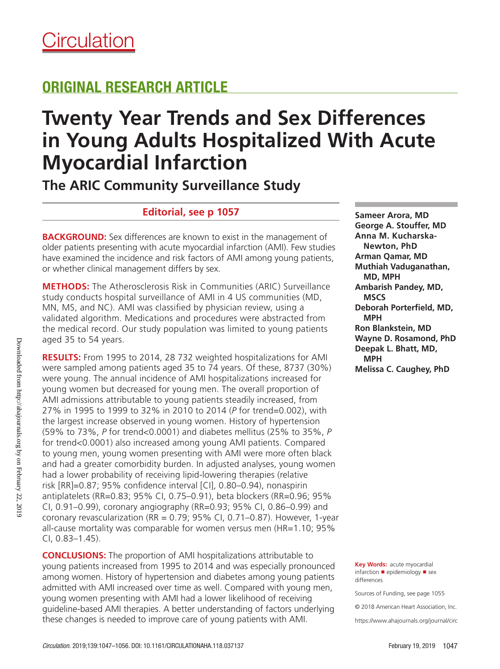## ORIGINAL RESEARCH ARTICLE

# **Twenty Year Trends and Sex Differences in Young Adults Hospitalized With Acute Myocardial Infarction**

**The ARIC Community Surveillance Study**

## **Editorial, see p 1057**

**BACKGROUND:** Sex differences are known to exist in the management of older patients presenting with acute myocardial infarction (AMI). Few studies have examined the incidence and risk factors of AMI among young patients, or whether clinical management differs by sex.

**METHODS:** The Atherosclerosis Risk in Communities (ARIC) Surveillance study conducts hospital surveillance of AMI in 4 US communities (MD, MN, MS, and NC). AMI was classified by physician review, using a validated algorithm. Medications and procedures were abstracted from the medical record. Our study population was limited to young patients aged 35 to 54 years.

**RESULTS:** From 1995 to 2014, 28 732 weighted hospitalizations for AMI were sampled among patients aged 35 to 74 years. Of these, 8737 (30%) were young. The annual incidence of AMI hospitalizations increased for young women but decreased for young men. The overall proportion of AMI admissions attributable to young patients steadily increased, from 27% in 1995 to 1999 to 32% in 2010 to 2014 (*P* for trend=0.002), with the largest increase observed in young women. History of hypertension (59% to 73%, *P* for trend<0.0001) and diabetes mellitus (25% to 35%, *P* for trend<0.0001) also increased among young AMI patients. Compared to young men, young women presenting with AMI were more often black and had a greater comorbidity burden. In adjusted analyses, young women had a lower probability of receiving lipid-lowering therapies (relative risk [RR]=0.87; 95% confidence interval [CI], 0.80–0.94), nonaspirin antiplatelets (RR=0.83; 95% CI, 0.75–0.91), beta blockers (RR=0.96; 95% CI, 0.91–0.99), coronary angiography (RR=0.93; 95% CI, 0.86–0.99) and coronary revascularization (RR =  $0.79$ ; 95% CI, 0.71-0.87). However, 1-year all-cause mortality was comparable for women versus men (HR=1.10; 95% CI, 0.83–1.45).

**CONCLUSIONS:** The proportion of AMI hospitalizations attributable to young patients increased from 1995 to 2014 and was especially pronounced among women. History of hypertension and diabetes among young patients admitted with AMI increased over time as well. Compared with young men, young women presenting with AMI had a lower likelihood of receiving guideline-based AMI therapies. A better understanding of factors underlying these changes is needed to improve care of young patients with AMI.

**Sameer Arora, MD George A. Stouffer, MD Anna M. Kucharska-Newton, PhD Arman Qamar, MD Muthiah Vaduganathan, MD, MPH Ambarish Pandey, MD, MSCS Deborah Porterfield, MD, MPH Ron Blankstein, MD Wayne D. Rosamond, PhD Deepak L. Bhatt, MD, MPH Melissa C. Caughey, PhD**

**Key Words:** acute myocardial infarction ◼ epidemiology ◼ sex differences

Sources of Funding, see page 1055

© 2018 American Heart Association, Inc.

https://www.ahajournals.org/journal/circ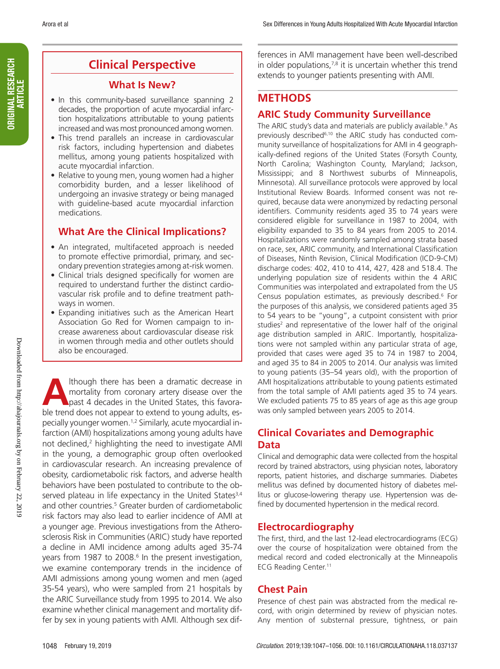ORIGINAL RESEARCH ORIGINAL RESEARCH<br>Article

## **Clinical Perspective**

## **What Is New?**

- In this community-based surveillance spanning 2 decades, the proportion of acute myocardial infarction hospitalizations attributable to young patients increased and was most pronounced among women.
- This trend parallels an increase in cardiovascular risk factors, including hypertension and diabetes mellitus, among young patients hospitalized with acute myocardial infarction.
- Relative to young men, young women had a higher comorbidity burden, and a lesser likelihood of undergoing an invasive strategy or being managed with guideline-based acute myocardial infarction medications.

## **What Are the Clinical Implications?**

- An integrated, multifaceted approach is needed to promote effective primordial, primary, and secondary prevention strategies among at-risk women.
- Clinical trials designed specifically for women are required to understand further the distinct cardiovascular risk profile and to define treatment pathways in women.
- Expanding initiatives such as the American Heart Association Go Red for Women campaign to increase awareness about cardiovascular disease risk in women through media and other outlets should also be encouraged.

Ithough there has been a dramatic decrease in<br>
mortality from coronary artery disease over the<br>
past 4 decades in the United States, this favora-<br>
ble trond does not appear to extend to young adults osmortality from coronary artery disease over the ble trend does not appear to extend to young adults, especially younger women.1,2 Similarly, acute myocardial infarction (AMI) hospitalizations among young adults have not declined,<sup>2</sup> highlighting the need to investigate AMI in the young, a demographic group often overlooked in cardiovascular research. An increasing prevalence of obesity, cardiometabolic risk factors, and adverse health behaviors have been postulated to contribute to the observed plateau in life expectancy in the United States<sup>3,4</sup> and other countries. 5 Greater burden of cardiometabolic risk factors may also lead to earlier incidence of AMI at a younger age. Previous investigations from the Atherosclerosis Risk in Communities (ARIC) study have reported a decline in AMI incidence among adults aged 35-74 years from 1987 to 2008.<sup>6</sup> In the present investigation, we examine contemporary trends in the incidence of AMI admissions among young women and men (aged 35-54 years), who were sampled from 21 hospitals by the ARIC Surveillance study from 1995 to 2014. We also examine whether clinical management and mortality differ by sex in young patients with AMI. Although sex differences in AMI management have been well-described in older populations, $7,8$  it is uncertain whether this trend extends to younger patients presenting with AMI.

## **METHODS**

## **ARIC Study Community Surveillance**

The ARIC study's data and materials are publicly available.<sup>9</sup> As previously described<sup>6,10</sup> the ARIC study has conducted community surveillance of hospitalizations for AMI in 4 geographically-defined regions of the United States (Forsyth County, North Carolina; Washington County, Maryland; Jackson, Mississippi; and 8 Northwest suburbs of Minneapolis, Minnesota). All surveillance protocols were approved by local Institutional Review Boards. Informed consent was not required, because data were anonymized by redacting personal identifiers. Community residents aged 35 to 74 years were considered eligible for surveillance in 1987 to 2004, with eligibility expanded to 35 to 84 years from 2005 to 2014. Hospitalizations were randomly sampled among strata based on race, sex, ARIC community, and International Classification of Diseases, Ninth Revision, Clinical Modification (ICD-9-CM) discharge codes: 402, 410 to 414, 427, 428 and 518.4. The underlying population size of residents within the 4 ARIC Communities was interpolated and extrapolated from the US Census population estimates, as previously described.<sup>6</sup> For the purposes of this analysis, we considered patients aged 35 to 54 years to be "young", a cutpoint consistent with prior studies<sup>2</sup> and representative of the lower half of the original age distribution sampled in ARIC. Importantly, hospitalizations were not sampled within any particular strata of age, provided that cases were aged 35 to 74 in 1987 to 2004, and aged 35 to 84 in 2005 to 2014. Our analysis was limited to young patients (35–54 years old), with the proportion of AMI hospitalizations attributable to young patients estimated from the total sample of AMI patients aged 35 to 74 years. We excluded patients 75 to 85 years of age as this age group was only sampled between years 2005 to 2014.

## **Clinical Covariates and Demographic Data**

Clinical and demographic data were collected from the hospital record by trained abstractors, using physician notes, laboratory reports, patient histories, and discharge summaries. Diabetes mellitus was defined by documented history of diabetes mellitus or glucose-lowering therapy use. Hypertension was defined by documented hypertension in the medical record.

## **Electrocardiography**

The first, third, and the last 12-lead electrocardiograms (ECG) over the course of hospitalization were obtained from the medical record and coded electronically at the Minneapolis ECG Reading Center.11

## **Chest Pain**

Presence of chest pain was abstracted from the medical record, with origin determined by review of physician notes. Any mention of substernal pressure, tightness, or pain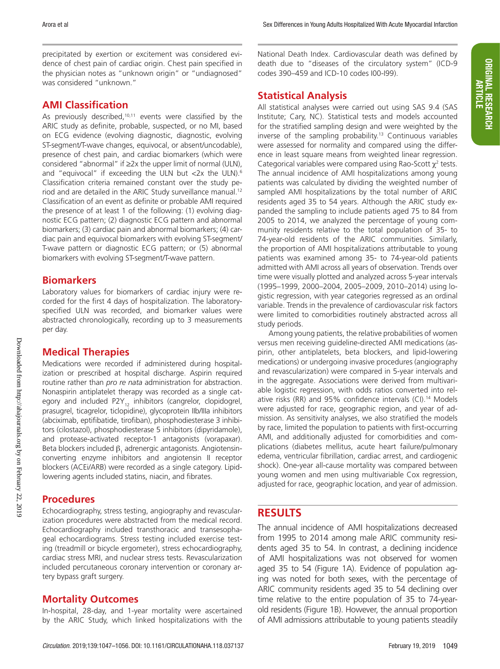precipitated by exertion or excitement was considered evidence of chest pain of cardiac origin. Chest pain specified in the physician notes as "unknown origin" or "undiagnosed" was considered "unknown."

## **AMI Classification**

As previously described,<sup>10,11</sup> events were classified by the ARIC study as definite, probable, suspected, or no MI, based on ECG evidence (evolving diagnostic, diagnostic, evolving ST-segment/T-wave changes, equivocal, or absent/uncodable), presence of chest pain, and cardiac biomarkers (which were considered "abnormal" if ≥2x the upper limit of normal (ULN), and "equivocal" if exceeding the ULN but <2x the ULN).<sup>6</sup> Classification criteria remained constant over the study period and are detailed in the ARIC Study surveillance manual.<sup>12</sup> Classification of an event as definite or probable AMI required the presence of at least 1 of the following: (1) evolving diagnostic ECG pattern; (2) diagnostic ECG pattern and abnormal biomarkers; (3) cardiac pain and abnormal biomarkers; (4) cardiac pain and equivocal biomarkers with evolving ST-segment/ T-wave pattern or diagnostic ECG pattern; or (5) abnormal biomarkers with evolving ST-segment/T-wave pattern.

## **Biomarkers**

Laboratory values for biomarkers of cardiac injury were recorded for the first 4 days of hospitalization. The laboratoryspecified ULN was recorded, and biomarker values were abstracted chronologically, recording up to 3 measurements per day.

## **Medical Therapies**

Medications were recorded if administered during hospitalization or prescribed at hospital discharge. Aspirin required routine rather than *pro re nata* administration for abstraction. Nonaspirin antiplatelet therapy was recorded as a single category and included P2Y<sub>12</sub> inhibitors (cangrelor, clopidogrel, prasugrel, ticagrelor, ticlopidine), glycoprotein IIb/IIIa inhibitors (abciximab, eptifibatide, tirofiban), phosphodiesterase 3 inhibitors (cilostazol), phosphodiesterase 5 inhibitors (dipyridamole), and protease-activated receptor-1 antagonists (vorapaxar). Beta blockers included  $\boldsymbol{\beta}_1$  adrenergic antagonists. Angiotensinconverting enzyme inhibitors and angiotensin II receptor blockers (ACEi/ARB) were recorded as a single category. Lipidlowering agents included statins, niacin, and fibrates.

#### **Procedures**

Echocardiography, stress testing, angiography and revascularization procedures were abstracted from the medical record. Echocardiography included transthoracic and transesophageal echocardiograms. Stress testing included exercise testing (treadmill or bicycle ergometer), stress echocardiography, cardiac stress MRI, and nuclear stress tests. Revascularization included percutaneous coronary intervention or coronary artery bypass graft surgery.

## **Mortality Outcomes**

In-hospital, 28-day, and 1-year mortality were ascertained by the ARIC Study, which linked hospitalizations with the

National Death Index. Cardiovascular death was defined by death due to "diseases of the circulatory system" (ICD-9 codes 390–459 and ICD-10 codes I00-I99).

## **Statistical Analysis**

All statistical analyses were carried out using SAS 9.4 (SAS Institute; Cary, NC). Statistical tests and models accounted for the stratified sampling design and were weighted by the inverse of the sampling probability.<sup>13</sup> Continuous variables were assessed for normality and compared using the difference in least square means from weighted linear regression. Categorical variables were compared using Rao-Scott  $\chi^2$  tests. The annual incidence of AMI hospitalizations among young patients was calculated by dividing the weighted number of sampled AMI hospitalizations by the total number of ARIC residents aged 35 to 54 years. Although the ARIC study expanded the sampling to include patients aged 75 to 84 from 2005 to 2014, we analyzed the percentage of young community residents relative to the total population of 35- to 74-year-old residents of the ARIC communities. Similarly, the proportion of AMI hospitalizations attributable to young patients was examined among 35- to 74-year-old patients admitted with AMI across all years of observation. Trends over time were visually plotted and analyzed across 5-year intervals (1995–1999, 2000–2004, 2005–2009, 2010–2014) using logistic regression, with year categories regressed as an ordinal variable. Trends in the prevalence of cardiovascular risk factors were limited to comorbidities routinely abstracted across all study periods.

Among young patients, the relative probabilities of women versus men receiving guideline-directed AMI medications (aspirin, other antiplatelets, beta blockers, and lipid-lowering medications) or undergoing invasive procedures (angiography and revascularization) were compared in 5-year intervals and in the aggregate. Associations were derived from multivariable logistic regression, with odds ratios converted into relative risks (RR) and 95% confidence intervals (CI).<sup>14</sup> Models were adjusted for race, geographic region, and year of admission. As sensitivity analyses, we also stratified the models by race, limited the population to patients with first-occurring AMI, and additionally adjusted for comorbidities and complications (diabetes mellitus, acute heart failure/pulmonary edema, ventricular fibrillation, cardiac arrest, and cardiogenic shock). One-year all-cause mortality was compared between young women and men using multivariable Cox regression, adjusted for race, geographic location, and year of admission.

## **RESULTS**

The annual incidence of AMI hospitalizations decreased from 1995 to 2014 among male ARIC community residents aged 35 to 54. In contrast, a declining incidence of AMI hospitalizations was not observed for women aged 35 to 54 (Figure 1A). Evidence of population aging was noted for both sexes, with the percentage of ARIC community residents aged 35 to 54 declining over time relative to the entire population of 35 to 74-yearold residents (Figure 1B). However, the annual proportion of AMI admissions attributable to young patients steadily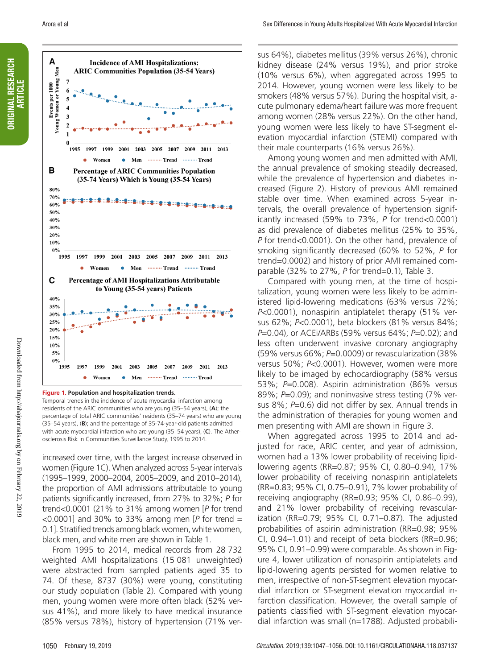

**Figure 1. Population and hospitalization trends.**

Temporal trends in the incidence of acute myocardial infarction among residents of the ARIC communities who are young (35–54 years), (**A**); the percentage of total ARIC communities' residents (35–74 years) who are young (35–54 years), (**B**); and the percentage of 35-74-year-old patients admitted with acute myocardial infarction who are young (35–54 years), (**C**). The Atherosclerosis Risk in Communities Surveillance Study, 1995 to 2014.

increased over time, with the largest increase observed in women (Figure 1C). When analyzed across 5-year intervals (1995–1999, 2000–2004, 2005–2009, and 2010–2014), the proportion of AMI admissions attributable to young patients significantly increased, from 27% to 32%; *P* for trend<0.0001 (21% to 31% among women [*P* for trend <0.0001] and 30% to 33% among men [*P* for trend = 0.1]. Stratified trends among black women, white women, black men, and white men are shown in Table 1.

From 1995 to 2014, medical records from 28 732 weighted AMI hospitalizations (15 081 unweighted) were abstracted from sampled patients aged 35 to 74. Of these, 8737 (30%) were young, constituting our study population (Table 2). Compared with young men, young women were more often black (52% versus 41%), and more likely to have medical insurance (85% versus 78%), history of hypertension (71% versus 64%), diabetes mellitus (39% versus 26%), chronic kidney disease (24% versus 19%), and prior stroke (10% versus 6%), when aggregated across 1995 to 2014. However, young women were less likely to be smokers (48% versus 57%). During the hospital visit, acute pulmonary edema/heart failure was more frequent among women (28% versus 22%). On the other hand, young women were less likely to have ST-segment elevation myocardial infarction (STEMI) compared with their male counterparts (16% versus 26%).

Among young women and men admitted with AMI, the annual prevalence of smoking steadily decreased, while the prevalence of hypertension and diabetes increased (Figure 2). History of previous AMI remained stable over time. When examined across 5-year intervals, the overall prevalence of hypertension significantly increased (59% to 73%, *P* for trend<0.0001) as did prevalence of diabetes mellitus (25% to 35%, *P* for trend<0.0001). On the other hand, prevalence of smoking significantly decreased (60% to 52%, *P* for trend=0.0002) and history of prior AMI remained comparable (32% to 27%, *P* for trend=0.1), Table 3.

Compared with young men, at the time of hospitalization, young women were less likely to be administered lipid-lowering medications (63% versus 72%; *P*<0.0001), nonaspirin antiplatelet therapy (51% versus 62%; *P*<0.0001), beta blockers (81% versus 84%; *P*=0.04), or ACEi/ARBs (59% versus 64%; *P*=0.02); and less often underwent invasive coronary angiography (59% versus 66%; *P*=0.0009) or revascularization (38% versus 50%; *P*<0.0001). However, women were more likely to be imaged by echocardiography (58% versus 53%; *P*=0.008). Aspirin administration (86% versus 89%; *P*=0.09); and noninvasive stress testing (7% versus 8%; *P*=0.6) did not differ by sex. Annual trends in the administration of therapies for young women and men presenting with AMI are shown in Figure 3.

When aggregated across 1995 to 2014 and adjusted for race, ARIC center, and year of admission, women had a 13% lower probability of receiving lipidlowering agents (RR=0.87; 95% CI, 0.80–0.94), 17% lower probability of receiving nonaspirin antiplatelets (RR=0.83; 95% CI, 0.75–0.91), 7% lower probability of receiving angiography (RR=0.93; 95% CI, 0.86–0.99), and 21% lower probability of receiving revascularization (RR=0.79; 95% CI, 0.71–0.87). The adjusted probabilities of aspirin administration (RR=0.98; 95% CI, 0.94–1.01) and receipt of beta blockers (RR=0.96; 95% CI, 0.91–0.99) were comparable. As shown in Figure 4, lower utilization of nonaspirin antiplatelets and lipid-lowering agents persisted for women relative to men, irrespective of non-ST-segment elevation myocardial infarction or ST-segment elevation myocardial infarction classification. However, the overall sample of patients classified with ST-segment elevation myocardial infarction was small (n=1788). Adjusted probabili-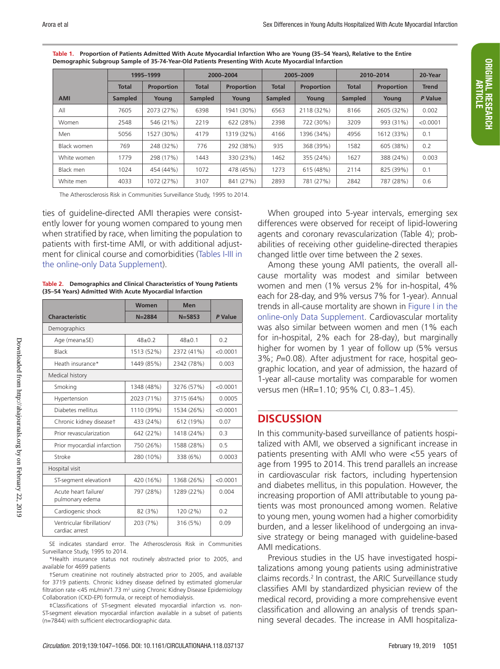**Table 1. Proportion of Patients Admitted With Acute Myocardial Infarction Who are Young (35–54 Years), Relative to the Entire Demographic Subgroup Sample of 35-74-Year-Old Patients Presenting With Acute Myocardial Infarction**

|             | 1995-1999      |                   | 2000-2004    |                   | 2005-2009      |                   | 2010-2014      |                   | 20-Year      |
|-------------|----------------|-------------------|--------------|-------------------|----------------|-------------------|----------------|-------------------|--------------|
|             | <b>Total</b>   | <b>Proportion</b> | <b>Total</b> | <b>Proportion</b> | <b>Total</b>   | <b>Proportion</b> | <b>Total</b>   | <b>Proportion</b> | <b>Trend</b> |
| <b>AMI</b>  | <b>Sampled</b> | Young             | Sampled      | Young             | <b>Sampled</b> | Young             | <b>Sampled</b> | Young             | P Value      |
| All         | 7605           | 2073 (27%)        | 6398         | 1941 (30%)        | 6563           | 2118 (32%)        | 8166           | 2605 (32%)        | 0.002        |
| Women       | 2548           | 546 (21%)         | 2219         | 622 (28%)         | 2398           | 722 (30%)         | 3209           | 993 (31%)         | < 0.0001     |
| Men         | 5056           | 1527 (30%)        | 4179         | 1319 (32%)        | 4166           | 1396 (34%)        | 4956           | 1612 (33%)        | 0.1          |
| Black women | 769            | 248 (32%)         | 776          | 292 (38%)         | 935            | 368 (39%)         | 1582           | 605 (38%)         | 0.2          |
| White women | 1779           | 298 (17%)         | 1443         | 330 (23%)         | 1462           | 355 (24%)         | 1627           | 388 (24%)         | 0.003        |
| Black men   | 1024           | 454 (44%)         | 1072         | 478 (45%)         | 1273           | 615 (48%)         | 2114           | 825 (39%)         | 0.1          |
| White men   | 4033           | 1072 (27%)        | 3107         | 841 (27%)         | 2893           | 781 (27%)         | 2842           | 787 (28%)         | 0.6          |

The Atherosclerosis Risk in Communities Surveillance Study, 1995 to 2014.

ties of guideline-directed AMI therapies were consistently lower for young women compared to young men when stratified by race, when limiting the population to patients with first-time AMI, or with additional adjustment for clinical course and comorbidities (Tables I-III in the online-only Data Supplement).

**Table 2. Demographics and Clinical Characteristics of Young Patients (35–54 Years) Admitted With Acute Myocardial Infarction**

|                                             | Women      | <b>Men</b> |          |  |  |  |
|---------------------------------------------|------------|------------|----------|--|--|--|
| <b>Characteristic</b>                       | $N = 2884$ | $N = 5853$ | P Value  |  |  |  |
| Demographics                                |            |            |          |  |  |  |
| Age ( $mean \pm SE$ )                       | $48+0.2$   | $48+0.1$   | 0.2      |  |  |  |
| Black                                       | 1513 (52%) | 2372 (41%) | < 0.0001 |  |  |  |
| Heath insurance*                            | 1449 (85%) | 2342 (78%) | 0.003    |  |  |  |
| Medical history                             |            |            |          |  |  |  |
| Smoking                                     | 1348 (48%) | 3276 (57%) | < 0.0001 |  |  |  |
| Hypertension                                | 2023 (71%) | 3715 (64%) | 0.0005   |  |  |  |
| Diabetes mellitus                           | 1110 (39%) | 1534 (26%) | < 0.0001 |  |  |  |
| Chronic kidney diseaset                     | 433 (24%)  | 612 (19%)  | 0.07     |  |  |  |
| Prior revascularization                     | 642 (22%)  | 1418 (24%) | 0.3      |  |  |  |
| Prior myocardial infarction                 | 750 (26%)  | 1588 (28%) | 0.5      |  |  |  |
| Stroke                                      | 280 (10%)  | 338 (6%)   | 0.0003   |  |  |  |
| Hospital visit                              |            |            |          |  |  |  |
| ST-segment elevation‡                       | 420 (16%)  | 1368 (26%) | < 0.0001 |  |  |  |
| Acute heart failure/<br>pulmonary edema     | 797 (28%)  | 1289 (22%) | 0.004    |  |  |  |
| Cardiogenic shock                           | 82 (3%)    | 120 (2%)   | 0.2      |  |  |  |
| Ventricular fibrillation/<br>cardiac arrest | 203 (7%)   | 316 (5%)   | 0.09     |  |  |  |

SE indicates standard error. The Atherosclerosis Risk in Communities Surveillance Study, 1995 to 2014.

\*Health insurance status not routinely abstracted prior to 2005, and available for 4699 patients

†Serum creatinine not routinely abstracted prior to 2005, and available for 3719 patients. Chronic kidney disease defined by estimated glomerular filtration rate <45 mL/min/1.73 m<sup>2</sup> using Chronic Kidney Disease Epidemiology Collaboration (CKD-EPI) formula, or receipt of hemodialysis.

‡Classifications of ST-segment elevated myocardial infarction vs. non-ST-segment elevation myocardial infarction available in a subset of patients (n=7844) with sufficient electrocardiographic data.

When grouped into 5-year intervals, emerging sex differences were observed for receipt of lipid-lowering agents and coronary revascularization (Table 4); probabilities of receiving other guideline-directed therapies changed little over time between the 2 sexes.

Among these young AMI patients, the overall allcause mortality was modest and similar between women and men (1% versus 2% for in-hospital, 4% each for 28-day, and 9% versus 7% for 1-year). Annual trends in all-cause mortality are shown in Figure I in the online-only Data Supplement. Cardiovascular mortality was also similar between women and men (1% each for in-hospital, 2% each for 28-day), but marginally higher for women by 1 year of follow up (5% versus 3%; *P*=0.08). After adjustment for race, hospital geographic location, and year of admission, the hazard of 1-year all-cause mortality was comparable for women versus men (HR=1.10; 95% CI, 0.83–1.45).

## **DISCUSSION**

In this community-based surveillance of patients hospitalized with AMI, we observed a significant increase in patients presenting with AMI who were <55 years of age from 1995 to 2014. This trend parallels an increase in cardiovascular risk factors, including hypertension and diabetes mellitus, in this population. However, the increasing proportion of AMI attributable to young patients was most pronounced among women. Relative to young men, young women had a higher comorbidity burden, and a lesser likelihood of undergoing an invasive strategy or being managed with guideline-based AMI medications.

Previous studies in the US have investigated hospitalizations among young patients using administrative claims records.2 In contrast, the ARIC Surveillance study classifies AMI by standardized physician review of the medical record, providing a more comprehensive event classification and allowing an analysis of trends spanning several decades. The increase in AMI hospitaliza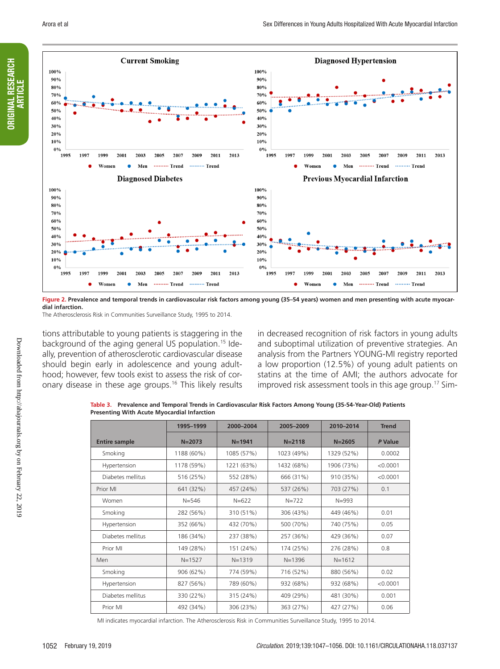ORIGINAL RESEARCH ARTICLE

**ORIGINAL RESEARCH** 



**Figure 2. Prevalence and temporal trends in cardiovascular risk factors among young (35–54 years) women and men presenting with acute myocardial infarction.**

The Atherosclerosis Risk in Communities Surveillance Study, 1995 to 2014.

tions attributable to young patients is staggering in the background of the aging general US population.<sup>15</sup> Ideally, prevention of atherosclerotic cardiovascular disease should begin early in adolescence and young adulthood; however, few tools exist to assess the risk of coronary disease in these age groups.16 This likely results in decreased recognition of risk factors in young adults and suboptimal utilization of preventive strategies. An analysis from the Partners YOUNG-MI registry reported a low proportion (12.5%) of young adult patients on statins at the time of AMI; the authors advocate for improved risk assessment tools in this age group.<sup>17</sup> Sim-

**Table 3. Prevalence and Temporal Trends in Cardiovascular Risk Factors Among Young (35-54-Year-Old) Patients Presenting With Acute Myocardial Infarction**

|                      | 1995-1999  | 2000-2004  | 2005-2009  | 2010-2014  | <b>Trend</b> |
|----------------------|------------|------------|------------|------------|--------------|
| <b>Entire sample</b> | $N = 2073$ | $N = 1941$ | $N = 2118$ | $N = 2605$ | P Value      |
| Smoking              | 1188 (60%) | 1085 (57%) | 1023 (49%) | 1329 (52%) | 0.0002       |
| Hypertension         | 1178 (59%) | 1221 (63%) | 1432 (68%) | 1906 (73%) | < 0.0001     |
| Diabetes mellitus    | 516 (25%)  | 552 (28%)  | 666 (31%)  | 910 (35%)  | < 0.0001     |
| Prior MI             | 641 (32%)  | 457 (24%)  | 537 (26%)  | 703 (27%)  | 0.1          |
| Women                | $N = 546$  | $N = 622$  | $N = 722$  | $N = 993$  |              |
| Smoking              | 282 (56%)  | 310 (51%)  | 306 (43%)  | 449 (46%)  | 0.01         |
| Hypertension         | 352 (66%)  | 432 (70%)  | 500 (70%)  | 740 (75%)  | 0.05         |
| Diabetes mellitus    | 186 (34%)  | 237 (38%)  | 257 (36%)  | 429 (36%)  | 0.07         |
| Prior MI             | 149 (28%)  | 151 (24%)  | 174 (25%)  | 276 (28%)  | 0.8          |
| Men                  | $N = 1527$ | $N = 1319$ | $N = 1396$ | $N = 1612$ |              |
| Smoking              | 906 (62%)  | 774 (59%)  | 716 (52%)  | 880 (56%)  | 0.02         |
| Hypertension         | 827 (56%)  | 789 (60%)  | 932 (68%)  | 932 (68%)  | < 0.0001     |
| Diabetes mellitus    | 330 (22%)  | 315 (24%)  | 409 (29%)  | 481 (30%)  | 0.001        |
| Prior MI             | 492 (34%)  | 306 (23%)  | 363 (27%)  | 427 (27%)  | 0.06         |

MI indicates myocardial infarction. The Atherosclerosis Risk in Communities Surveillance Study, 1995 to 2014.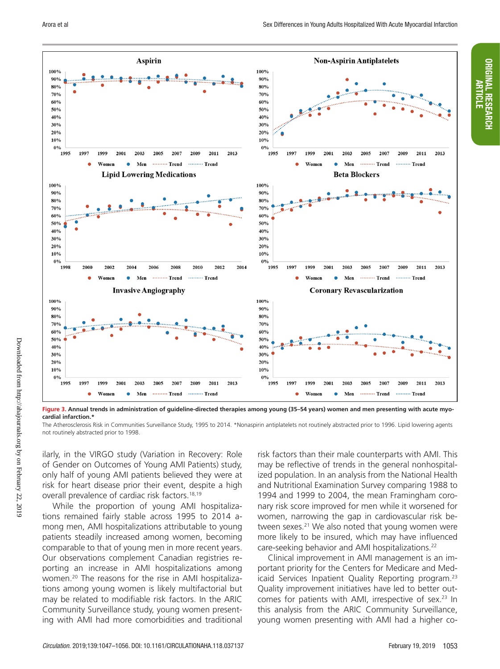ORIGINAL RESEARCH ARTICLE

**ORIGINAL RESEARCH** 



**Figure 3. Annual trends in administration of guideline-directed therapies among young (35–54 years) women and men presenting with acute myocardial infarction.\***

The Atherosclerosis Risk in Communities Surveillance Study, 1995 to 2014. \*Nonaspirin antiplatelets not routinely abstracted prior to 1996. Lipid lowering agents not routinely abstracted prior to 1998.

ilarly, in the VIRGO study (Variation in Recovery: Role of Gender on Outcomes of Young AMI Patients) study, only half of young AMI patients believed they were at risk for heart disease prior their event, despite a high overall prevalence of cardiac risk factors.<sup>18,19</sup>

While the proportion of young AMI hospitalizations remained fairly stable across 1995 to 2014 among men, AMI hospitalizations attributable to young patients steadily increased among women, becoming comparable to that of young men in more recent years. Our observations complement Canadian registries reporting an increase in AMI hospitalizations among women.20 The reasons for the rise in AMI hospitalizations among young women is likely multifactorial but may be related to modifiable risk factors. In the ARIC Community Surveillance study, young women presenting with AMI had more comorbidities and traditional

risk factors than their male counterparts with AMI. This may be reflective of trends in the general nonhospitalized population. In an analysis from the National Health and Nutritional Examination Survey comparing 1988 to 1994 and 1999 to 2004, the mean Framingham coronary risk score improved for men while it worsened for women, narrowing the gap in cardiovascular risk between sexes.<sup>21</sup> We also noted that young women were more likely to be insured, which may have influenced care-seeking behavior and AMI hospitalizations.22

Clinical improvement in AMI management is an important priority for the Centers for Medicare and Medicaid Services Inpatient Quality Reporting program.<sup>23</sup> Quality improvement initiatives have led to better outcomes for patients with AMI, irrespective of sex.<sup>23</sup> In this analysis from the ARIC Community Surveillance, young women presenting with AMI had a higher co-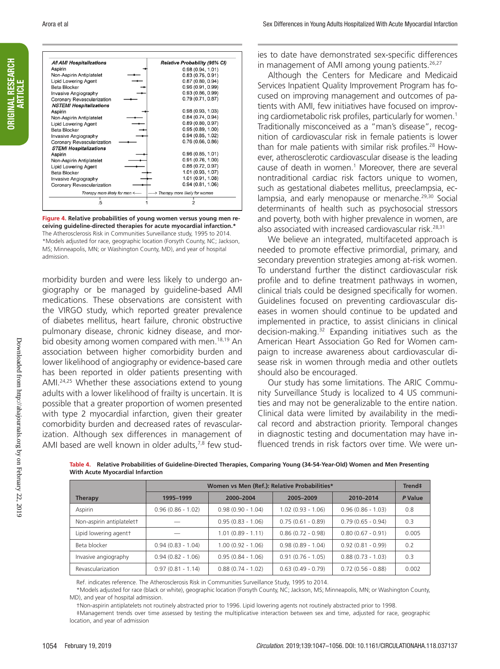| <b>All AMI Hospitalizations</b>    | Relative Probability (95% CI)        |
|------------------------------------|--------------------------------------|
| Aspirin                            | 0.98(0.94, 1.01)                     |
| Non-Aspirin Antiplatelet           | 0.83(0.75, 0.91)                     |
| Lipid Lowering Agent               | 0.87(0.80, 0.94)                     |
| <b>Beta Blocker</b>                | 0.96(0.91, 0.99)                     |
| <b>Invasive Angiography</b>        | 0.93(0.86, 0.99)                     |
| Coronary Revascularization         | 0.79(0.71, 0.87)                     |
| <b>NSTEMI Hospitalizations</b>     |                                      |
| Aspirin                            | 0.98(0.93, 1.03)                     |
| Non-Aspirin Antiplatelet           | 0.84(0.74, 0.94)                     |
| Lipid Lowering Agent               | 0.89(0.80, 0.97)                     |
| <b>Beta Blocker</b>                | 0.95(0.89, 1.00)                     |
| Invasive Angiography               | 0.94(0.85, 1.02)                     |
| Coronary Revascularization         | 0.76(0.66, 0.86)                     |
| <b>STEMI Hospitalizations</b>      |                                      |
| Aspirin                            | 0.96(0.85, 1.01)                     |
| Non-Aspirin Antiplatelet           | 0.91(0.76, 1.00)                     |
| <b>Lipid Lowering Agent</b>        | 0.86(0.72, 0.97)                     |
| Beta Blocker                       | 1.01 (0.93, 1.07)                    |
| Invasive Angiography               | 1.01 (0.91, 1.08)                    |
| Coronary Revascularization         | 0.94(0.81, 1.06)                     |
| Therapy more likely for men <----- | -----> Therapy more likely for women |
| .5                                 |                                      |

**Figure 4. Relative probabilities of young women versus young men receiving guideline-directed therapies for acute myocardial infarction.\*** The Atherosclerosis Risk in Communities Surveillance study, 1995 to 2014.

\*Models adjusted for race, geographic location (Forsyth County, NC; Jackson, MS; Minneapolis, MN; or Washington County, MD), and year of hospital admission.

morbidity burden and were less likely to undergo angiography or be managed by guideline-based AMI medications. These observations are consistent with the VIRGO study, which reported greater prevalence of diabetes mellitus, heart failure, chronic obstructive pulmonary disease, chronic kidney disease, and morbid obesity among women compared with men.<sup>18,19</sup> An association between higher comorbidity burden and lower likelihood of angiography or evidence-based care has been reported in older patients presenting with AMI.24,25 Whether these associations extend to young adults with a lower likelihood of frailty is uncertain. It is possible that a greater proportion of women presented with type 2 myocardial infarction, given their greater comorbidity burden and decreased rates of revascularization. Although sex differences in management of AMI based are well known in older adults,<sup>7,8</sup> few studies to date have demonstrated sex-specific differences in management of AMI among young patients. $26,27$ 

Although the Centers for Medicare and Medicaid Services Inpatient Quality Improvement Program has focused on improving management and outcomes of patients with AMI, few initiatives have focused on improving cardiometabolic risk profiles, particularly for women.<sup>1</sup> Traditionally misconceived as a "man's disease", recognition of cardiovascular risk in female patients is lower than for male patients with similar risk profiles.<sup>28</sup> However, atherosclerotic cardiovascular disease is the leading cause of death in women.<sup>1</sup> Moreover, there are several nontraditional cardiac risk factors unique to women, such as gestational diabetes mellitus, preeclampsia, eclampsia, and early menopause or menarche.<sup>29,30</sup> Social determinants of health such as psychosocial stressors and poverty, both with higher prevalence in women, are also associated with increased cardiovascular risk.<sup>28,31</sup>

We believe an integrated, multifaceted approach is needed to promote effective primordial, primary, and secondary prevention strategies among at-risk women. To understand further the distinct cardiovascular risk profile and to define treatment pathways in women, clinical trials could be designed specifically for women. Guidelines focused on preventing cardiovascular diseases in women should continue to be updated and implemented in practice, to assist clinicians in clinical decision-making.32 Expanding initiatives such as the American Heart Association Go Red for Women campaign to increase awareness about cardiovascular disease risk in women through media and other outlets should also be encouraged.

Our study has some limitations. The ARIC Community Surveillance Study is localized to 4 US communities and may not be generalizable to the entire nation. Clinical data were limited by availability in the medical record and abstraction priority. Temporal changes in diagnostic testing and documentation may have influenced trends in risk factors over time. We were un-

|                           | Women vs Men (Ref.): Relative Probabilities* |                     |                     |                     |         |  |
|---------------------------|----------------------------------------------|---------------------|---------------------|---------------------|---------|--|
| <b>Therapy</b>            | 1995-1999                                    | 2000-2004           | 2005-2009           | 2010-2014           | P Value |  |
| Aspirin                   | $0.96(0.86 - 1.02)$                          | $0.98(0.90 - 1.04)$ | $1.02(0.93 - 1.06)$ | $0.96(0.86 - 1.03)$ | 0.8     |  |
| Non-aspirin antiplatelett |                                              | $0.95(0.83 - 1.06)$ | $0.75(0.61 - 0.89)$ | $0.79(0.65 - 0.94)$ | 0.3     |  |
| Lipid lowering agentt     |                                              | $1.01(0.89 - 1.11)$ | $0.86(0.72 - 0.98)$ | $0.80(0.67 - 0.91)$ | 0.005   |  |
| Beta blocker              | $0.94(0.83 - 1.04)$                          | $1.00(0.92 - 1.06)$ | $0.98(0.89 - 1.04)$ | $0.92(0.81 - 0.99)$ | 0.2     |  |
| Invasive angiography      | $0.94(0.82 - 1.06)$                          | $0.95(0.84 - 1.06)$ | $0.91(0.76 - 1.05)$ | $0.88(0.73 - 1.03)$ | 0.3     |  |
| Revascularization         | $0.97(0.81 - 1.14)$                          | $0.88(0.74 - 1.02)$ | $0.63(0.49 - 0.79)$ | $0.72(0.56 - 0.88)$ | 0.002   |  |

**Table 4. Relative Probabilities of Guideline-Directed Therapies, Comparing Young (34-54-Year-Old) Women and Men Presenting With Acute Myocardial Infarction**

Ref. indicates reference. The Atherosclerosis Risk in Communities Surveillance Study, 1995 to 2014.

\*Models adjusted for race (black or white), geographic location (Forsyth County, NC; Jackson, MS; Minneapolis, MN; or Washington County, MD), and year of hospital admission.

†Non-aspirin antiplatelets not routinely abstracted prior to 1996. Lipid lowering agents not routinely abstracted prior to 1998.

‡Management trends over time assessed by testing the multiplicative interaction between sex and time, adjusted for race, geographic location, and year of admission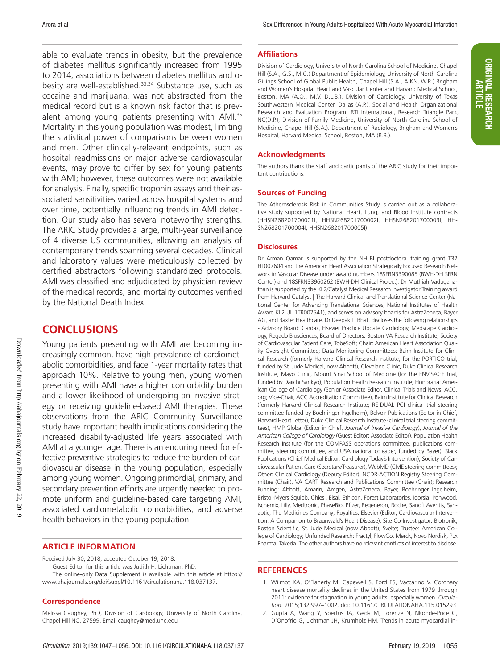able to evaluate trends in obesity, but the prevalence of diabetes mellitus significantly increased from 1995 to 2014; associations between diabetes mellitus and obesity are well-established.<sup>33,34</sup> Substance use, such as cocaine and marijuana, was not abstracted from the medical record but is a known risk factor that is prevalent among young patients presenting with AMI.<sup>35</sup> Mortality in this young population was modest, limiting the statistical power of comparisons between women and men. Other clinically-relevant endpoints, such as hospital readmissions or major adverse cardiovascular events, may prove to differ by sex for young patients with AMI; however, these outcomes were not available for analysis. Finally, specific troponin assays and their associated sensitivities varied across hospital systems and over time, potentially influencing trends in AMI detection. Our study also has several noteworthy strengths. The ARIC Study provides a large, multi-year surveillance of 4 diverse US communities, allowing an analysis of contemporary trends spanning several decades. Clinical and laboratory values were meticulously collected by certified abstractors following standardized protocols. AMI was classified and adjudicated by physician review of the medical records, and mortality outcomes verified by the National Death Index.

## **CONCLUSIONS**

Young patients presenting with AMI are becoming increasingly common, have high prevalence of cardiometabolic comorbidities, and face 1-year mortality rates that approach 10%. Relative to young men, young women presenting with AMI have a higher comorbidity burden and a lower likelihood of undergoing an invasive strategy or receiving guideline-based AMI therapies. These observations from the ARIC Community Surveillance study have important health implications considering the increased disability-adjusted life years associated with AMI at a younger age. There is an enduring need for effective preventive strategies to reduce the burden of cardiovascular disease in the young population, especially among young women. Ongoing primordial, primary, and secondary prevention efforts are urgently needed to promote uniform and guideline-based care targeting AMI, associated cardiometabolic comorbidities, and adverse health behaviors in the young population.

#### **ARTICLE INFORMATION**

Received July 30, 2018; accepted October 19, 2018.

Guest Editor for this article was Judith H. Lichtman, PhD.

The online-only Data Supplement is available with this article at https:// www.ahajournals.org/doi/suppl/10.1161/circulationaha.118.037137.

#### **Correspondence**

Melissa Caughey, PhD, Division of Cardiology, University of North Carolina, Chapel Hill NC, 27599. Email caughey@med.unc.edu

#### **Affiliations**

Division of Cardiology, University of North Carolina School of Medicine, Chapel Hill (S.A., G.S., M.C.) Department of Epidemiology, University of North Carolina Gillings School of Global Public Health, Chapel Hill (S.A., A.KN, W.R.) Brigham and Women's Hospital Heart and Vascular Center and Harvard Medical School, Boston, MA (A.Q., M.V, D.L.B.). Division of Cardiology, University of Texas Southwestern Medical Center, Dallas (A.P.). Social and Health Organizational Research and Evaluation Program, RTI International, Research Triangle Park, NC(D.P.); Division of Family Medicine, University of North Carolina School of Medicine, Chapel Hill (S.A.). Department of Radiology, Brigham and Women's Hospital, Harvard Medical School, Boston, MA (R.B.).

#### **Acknowledgments**

The authors thank the staff and participants of the ARIC study for their important contributions.

#### **Sources of Funding**

The Atherosclerosis Risk in Communities Study is carried out as a collaborative study supported by National Heart, Lung, and Blood Institute contracts (HHSN268201700001I, HHSN268201700002I, HHSN268201700003I, HH-SN268201700004I, HHSN268201700005I).

#### **Disclosures**

Dr Arman Qamar is supported by the NHLBI postdoctoral training grant T32 HL007604 and the American Heart Association Strategically Focused Research Network in Vascular Disease under award numbers 18SFRN3390085 (BWH-DH SFRN Center) and 18SFRN33960262 (BWH-DH Clinical Project). Dr Muthiah Vaduganathan is supported by the KL2/Catalyst Medical Research Investigator Training award from Harvard Catalyst | The Harvard Clinical and Translational Science Center (National Center for Advancing Translational Sciences, National Institutes of Health Award KL2 UL 1TR002541), and serves on advisory boards for AstraZeneca, Bayer AG, and Baxter Healthcare. Dr Deepak L. Bhatt discloses the following relationships - Advisory Board: Cardax, Elsevier Practice Update Cardiology, Medscape Cardiology, Regado Biosciences; Board of Directors: Boston VA Research Institute, Society of Cardiovascular Patient Care, TobeSoft; Chair: American Heart Association Quality Oversight Committee; Data Monitoring Committees: Baim Institute for Clinical Research (formerly Harvard Clinical Research Institute, for the PORTICO trial, funded by St. Jude Medical, now Abbott), Cleveland Clinic, Duke Clinical Research Institute, Mayo Clinic, Mount Sinai School of Medicine (for the ENVISAGE trial, funded by Daiichi Sankyo), Population Health Research Institute; Honoraria: American College of Cardiology (Senior Associate Editor, Clinical Trials and News, ACC. org; Vice-Chair, ACC Accreditation Committee), Baim Institute for Clinical Research (formerly Harvard Clinical Research Institute; RE-DUAL PCI clinical trial steering committee funded by Boehringer Ingelheim), Belvoir Publications (Editor in Chief, Harvard Heart Letter), Duke Clinical Research Institute (clinical trial steering committees), HMP Global (Editor in Chief, *Journal of Invasive Cardiology*), *Journal of the American College of Cardiology* (Guest Editor; Associate Editor), Population Health Research Institute (for the COMPASS operations committee, publications committee, steering committee, and USA national coleader, funded by Bayer), Slack Publications (Chief Medical Editor, Cardiology Today's Intervention), Society of Cardiovascular Patient Care (Secretary/Treasurer), WebMD (CME steering committees); Other: Clinical Cardiology (Deputy Editor), NCDR-ACTION Registry Steering Committee (Chair), VA CART Research and Publications Committee (Chair); Research Funding: Abbott, Amarin, Amgen, AstraZeneca, Bayer, Boehringer Ingelheim, Bristol-Myers Squibb, Chiesi, Eisai, Ethicon, Forest Laboratories, Idorsia, Ironwood, Ischemix, Lilly, Medtronic, PhaseBio, Pfizer, Regeneron, Roche, Sanofi Aventis, Synaptic, The Medicines Company; Royalties: Elsevier (Editor, Cardiovascular Intervention: A Companion to Braunwald's Heart Disease); Site Co-Investigator: Biotronik, Boston Scientific, St. Jude Medical (now Abbott), Svelte; Trustee: American College of Cardiology; Unfunded Research: Fractyl, FlowCo, Merck, Novo Nordisk, PLx Pharma, Takeda. The other authors have no relevant conflicts of interest to disclose.

#### **REFERENCES**

- 1. Wilmot KA, O'Flaherty M, Capewell S, Ford ES, Vaccarino V. Coronary heart disease mortality declines in the United States from 1979 through 2011: evidence for stagnation in young adults, especially women. *Circulation*. 2015;132:997–1002. doi: 10.1161/CIRCULATIONAHA.115.015293
- 2. Gupta A, Wang Y, Spertus JA, Geda M, Lorenze N, Nkonde-Price C, D'Onofrio G, Lichtman JH, Krumholz HM. Trends in acute myocardial in-